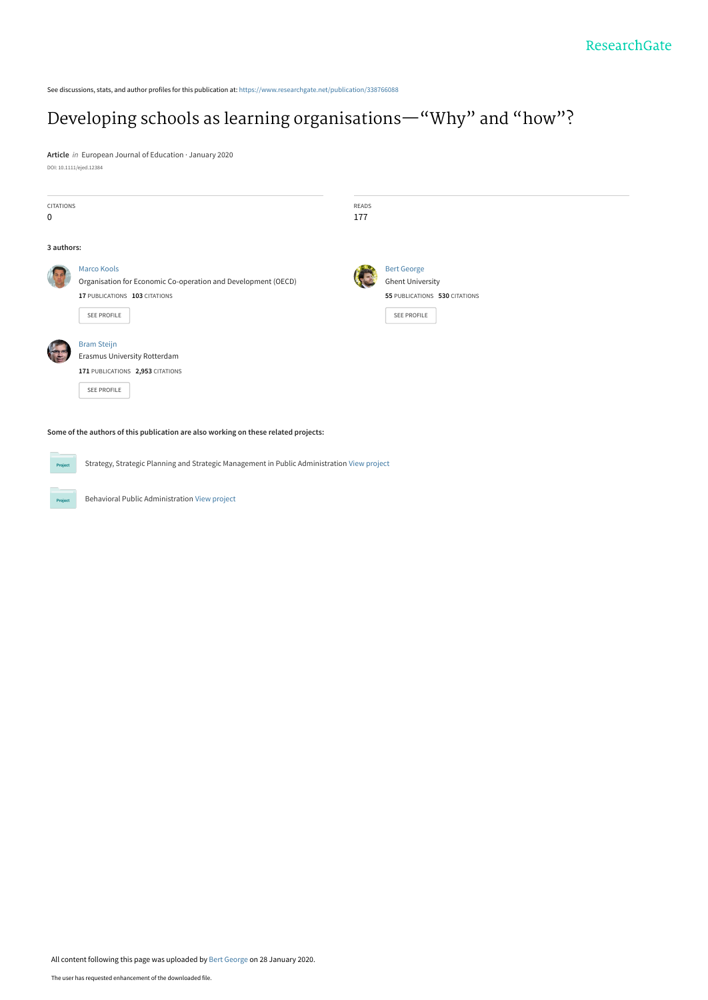See discussions, stats, and author profiles for this publication at: [https://www.researchgate.net/publication/338766088](https://www.researchgate.net/publication/338766088_Developing_schools_as_learning_organisations-Why_and_how?enrichId=rgreq-50b2be6352b3f0a6681e657de588ff2f-XXX&enrichSource=Y292ZXJQYWdlOzMzODc2NjA4ODtBUzo4NTIyMTcwNjYxNzI0MThAMTU4MDE5NTc5MDc2OQ%3D%3D&el=1_x_2&_esc=publicationCoverPdf)

# [Developing schools as learning organisations—"Why" and "how"?](https://www.researchgate.net/publication/338766088_Developing_schools_as_learning_organisations-Why_and_how?enrichId=rgreq-50b2be6352b3f0a6681e657de588ff2f-XXX&enrichSource=Y292ZXJQYWdlOzMzODc2NjA4ODtBUzo4NTIyMTcwNjYxNzI0MThAMTU4MDE5NTc5MDc2OQ%3D%3D&el=1_x_3&_esc=publicationCoverPdf)

**Article** in European Journal of Education · January 2020 DOI: 10.1111/ejed.12384

| <b>CITATIONS</b><br>$\mathbf 0$                                                     |                                                                                                                                     | <b>READS</b><br>177 |                                                                                               |
|-------------------------------------------------------------------------------------|-------------------------------------------------------------------------------------------------------------------------------------|---------------------|-----------------------------------------------------------------------------------------------|
| 3 authors:                                                                          |                                                                                                                                     |                     |                                                                                               |
|                                                                                     | <b>Marco Kools</b><br>Organisation for Economic Co-operation and Development (OECD)<br>17 PUBLICATIONS 103 CITATIONS<br>SEE PROFILE |                     | <b>Bert George</b><br><b>Ghent University</b><br>55 PUBLICATIONS 530 CITATIONS<br>SEE PROFILE |
|                                                                                     | <b>Bram Steijn</b><br>Erasmus University Rotterdam<br>171 PUBLICATIONS 2,953 CITATIONS<br>SEE PROFILE                               |                     |                                                                                               |
| Some of the authors of this publication are also working on these related projects: |                                                                                                                                     |                     |                                                                                               |

Strategy, Strategic Planning and Strategic Management in Public Administration [View project](https://www.researchgate.net/project/Strategy-Strategic-Planning-and-Strategic-Management-in-Public-Administration?enrichId=rgreq-50b2be6352b3f0a6681e657de588ff2f-XXX&enrichSource=Y292ZXJQYWdlOzMzODc2NjA4ODtBUzo4NTIyMTcwNjYxNzI0MThAMTU4MDE5NTc5MDc2OQ%3D%3D&el=1_x_9&_esc=publicationCoverPdf) **Project** 

Behavioral Public Administration [View project](https://www.researchgate.net/project/Behavioral-Public-Administration-2?enrichId=rgreq-50b2be6352b3f0a6681e657de588ff2f-XXX&enrichSource=Y292ZXJQYWdlOzMzODc2NjA4ODtBUzo4NTIyMTcwNjYxNzI0MThAMTU4MDE5NTc5MDc2OQ%3D%3D&el=1_x_9&_esc=publicationCoverPdf)

Project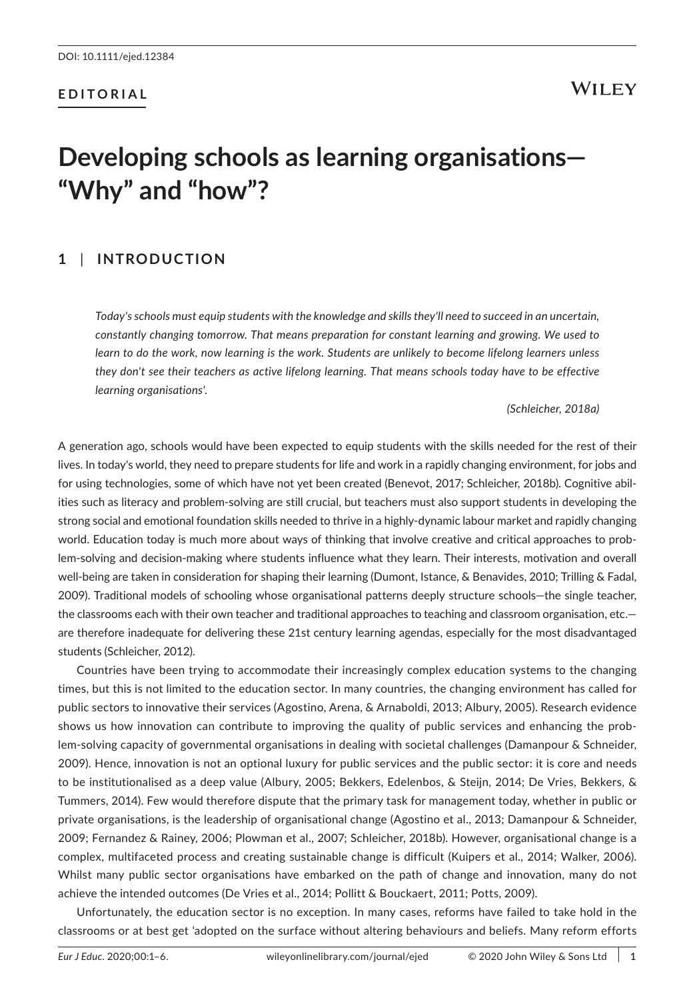#### **EDITORIAL**

# **Developing schools as learning organisations— "Why" and "how"?**

## **1** | **INTRODUCTION**

*Today's schools must equip students with the knowledge and skills they'll need to succeed in an uncertain, constantly changing tomorrow. That means preparation for constant learning and growing. We used to learn to do the work, now learning is the work. Students are unlikely to become lifelong learners unless they don't see their teachers as active lifelong learning. That means schools today have to be effective learning organisations'.* 

*(Schleicher, 2018a)*

A generation ago, schools would have been expected to equip students with the skills needed for the rest of their lives. In today's world, they need to prepare students for life and work in a rapidly changing environment, for jobs and for using technologies, some of which have not yet been created (Benevot, 2017; Schleicher, 2018b). Cognitive abilities such as literacy and problem-solving are still crucial, but teachers must also support students in developing the strong social and emotional foundation skills needed to thrive in a highly-dynamic labour market and rapidly changing world. Education today is much more about ways of thinking that involve creative and critical approaches to problem-solving and decision-making where students influence what they learn. Their interests, motivation and overall well-being are taken in consideration for shaping their learning (Dumont, Istance, & Benavides, 2010; Trilling & Fadal, 2009). Traditional models of schooling whose organisational patterns deeply structure schools—the single teacher, the classrooms each with their own teacher and traditional approaches to teaching and classroom organisation, etc. are therefore inadequate for delivering these 21st century learning agendas, especially for the most disadvantaged students (Schleicher, 2012).

Countries have been trying to accommodate their increasingly complex education systems to the changing times, but this is not limited to the education sector. In many countries, the changing environment has called for public sectors to innovative their services (Agostino, Arena, & Arnaboldi, 2013; Albury, 2005). Research evidence shows us how innovation can contribute to improving the quality of public services and enhancing the problem-solving capacity of governmental organisations in dealing with societal challenges (Damanpour & Schneider, 2009). Hence, innovation is not an optional luxury for public services and the public sector: it is core and needs to be institutionalised as a deep value (Albury, 2005; Bekkers, Edelenbos, & Steijn, 2014; De Vries, Bekkers, & Tummers, 2014). Few would therefore dispute that the primary task for management today, whether in public or private organisations, is the leadership of organisational change (Agostino et al., 2013; Damanpour & Schneider, 2009; Fernandez & Rainey, 2006; Plowman et al., 2007; Schleicher, 2018b). However, organisational change is a complex, multifaceted process and creating sustainable change is difficult (Kuipers et al., 2014; Walker, 2006). Whilst many public sector organisations have embarked on the path of change and innovation, many do not achieve the intended outcomes (De Vries et al., 2014; Pollitt & Bouckaert, 2011; Potts, 2009).

Unfortunately, the education sector is no exception. In many cases, reforms have failed to take hold in the classrooms or at best get 'adopted on the surface without altering behaviours and beliefs. Many reform efforts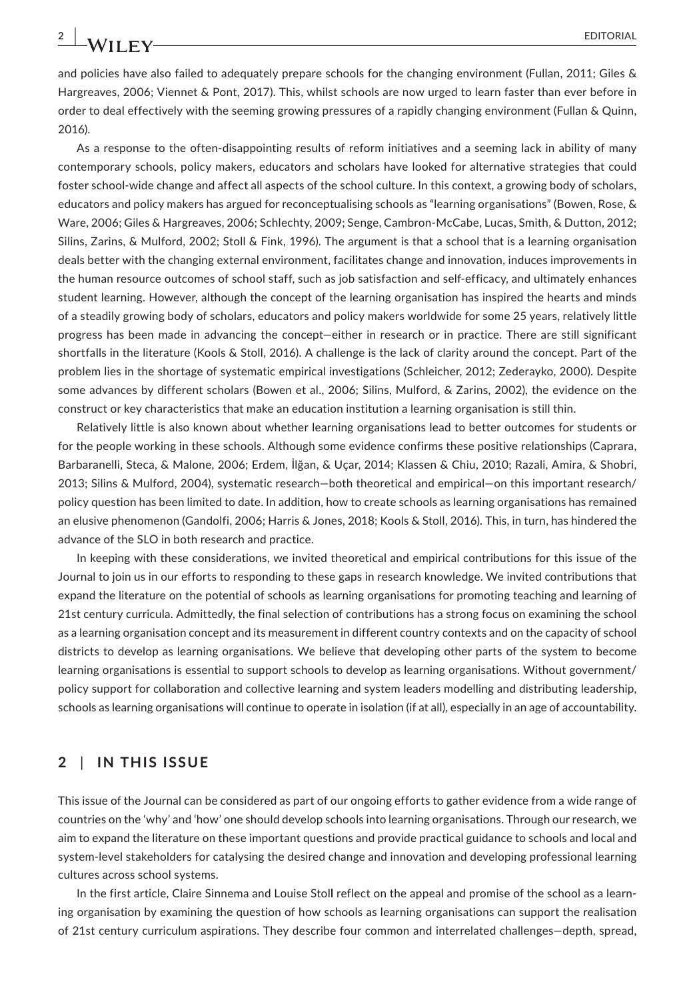and policies have also failed to adequately prepare schools for the changing environment (Fullan, 2011; Giles & Hargreaves, 2006; Viennet & Pont, 2017). This, whilst schools are now urged to learn faster than ever before in order to deal effectively with the seeming growing pressures of a rapidly changing environment (Fullan & Quinn, 2016).

As a response to the often-disappointing results of reform initiatives and a seeming lack in ability of many contemporary schools, policy makers, educators and scholars have looked for alternative strategies that could foster school-wide change and affect all aspects of the school culture. In this context, a growing body of scholars, educators and policy makers has argued for reconceptualising schools as "learning organisations" (Bowen, Rose, & Ware, 2006; Giles & Hargreaves, 2006; Schlechty, 2009; Senge, Cambron-McCabe, Lucas, Smith, & Dutton, 2012; Silins, Zarins, & Mulford, 2002; Stoll & Fink, 1996). The argument is that a school that is a learning organisation deals better with the changing external environment, facilitates change and innovation, induces improvements in the human resource outcomes of school staff, such as job satisfaction and self-efficacy, and ultimately enhances student learning. However, although the concept of the learning organisation has inspired the hearts and minds of a steadily growing body of scholars, educators and policy makers worldwide for some 25 years, relatively little progress has been made in advancing the concept—either in research or in practice. There are still significant shortfalls in the literature (Kools & Stoll, 2016). A challenge is the lack of clarity around the concept. Part of the problem lies in the shortage of systematic empirical investigations (Schleicher, 2012; Zederayko, 2000). Despite some advances by different scholars (Bowen et al., 2006; Silins, Mulford, & Zarins, 2002), the evidence on the construct or key characteristics that make an education institution a learning organisation is still thin.

Relatively little is also known about whether learning organisations lead to better outcomes for students or for the people working in these schools. Although some evidence confirms these positive relationships (Caprara, Barbaranelli, Steca, & Malone, 2006; Erdem, İlğan, & Uçar, 2014; Klassen & Chiu, 2010; Razali, Amira, & Shobri, 2013; Silins & Mulford, 2004), systematic research—both theoretical and empirical—on this important research/ policy question has been limited to date. In addition, how to create schools as learning organisations has remained an elusive phenomenon (Gandolfi, 2006; Harris & Jones, 2018; Kools & Stoll, 2016). This, in turn, has hindered the advance of the SLO in both research and practice.

In keeping with these considerations, we invited theoretical and empirical contributions for this issue of the Journal to join us in our efforts to responding to these gaps in research knowledge. We invited contributions that expand the literature on the potential of schools as learning organisations for promoting teaching and learning of 21st century curricula. Admittedly, the final selection of contributions has a strong focus on examining the school as a learning organisation concept and its measurement in different country contexts and on the capacity of school districts to develop as learning organisations. We believe that developing other parts of the system to become learning organisations is essential to support schools to develop as learning organisations. Without government/ policy support for collaboration and collective learning and system leaders modelling and distributing leadership, schools as learning organisations will continue to operate in isolation (if at all), especially in an age of accountability.

#### **2** | **IN THIS ISSUE**

This issue of the Journal can be considered as part of our ongoing efforts to gather evidence from a wide range of countries on the 'why' and 'how' one should develop schools into learning organisations. Through our research, we aim to expand the literature on these important questions and provide practical guidance to schools and local and system-level stakeholders for catalysing the desired change and innovation and developing professional learning cultures across school systems.

In the first article, Claire Sinnema and Louise Stol**l** reflect on the appeal and promise of the school as a learning organisation by examining the question of how schools as learning organisations can support the realisation of 21st century curriculum aspirations. They describe four common and interrelated challenges—depth, spread,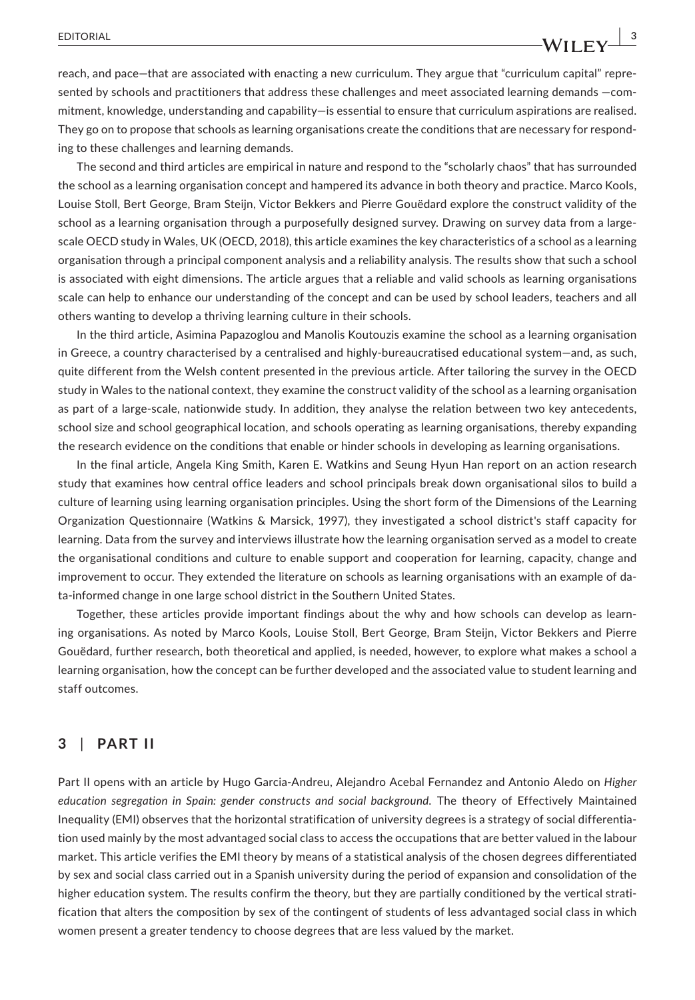reach, and pace—that are associated with enacting a new curriculum. They argue that "curriculum capital" represented by schools and practitioners that address these challenges and meet associated learning demands —commitment, knowledge, understanding and capability—is essential to ensure that curriculum aspirations are realised. They go on to propose that schools as learning organisations create the conditions that are necessary for responding to these challenges and learning demands.

The second and third articles are empirical in nature and respond to the "scholarly chaos" that has surrounded the school as a learning organisation concept and hampered its advance in both theory and practice. Marco Kools, Louise Stoll, Bert George, Bram Steijn, Victor Bekkers and Pierre Gouëdard explore the construct validity of the school as a learning organisation through a purposefully designed survey. Drawing on survey data from a largescale OECD study in Wales, UK (OECD, 2018), this article examines the key characteristics of a school as a learning organisation through a principal component analysis and a reliability analysis. The results show that such a school is associated with eight dimensions. The article argues that a reliable and valid schools as learning organisations scale can help to enhance our understanding of the concept and can be used by school leaders, teachers and all others wanting to develop a thriving learning culture in their schools.

In the third article, Asimina Papazoglou and Manolis Koutouzis examine the school as a learning organisation in Greece, a country characterised by a centralised and highly-bureaucratised educational system—and, as such, quite different from the Welsh content presented in the previous article. After tailoring the survey in the OECD study in Wales to the national context, they examine the construct validity of the school as a learning organisation as part of a large-scale, nationwide study. In addition, they analyse the relation between two key antecedents, school size and school geographical location, and schools operating as learning organisations, thereby expanding the research evidence on the conditions that enable or hinder schools in developing as learning organisations.

In the final article, Angela King Smith, Karen E. Watkins and Seung Hyun Han report on an action research study that examines how central office leaders and school principals break down organisational silos to build a culture of learning using learning organisation principles. Using the short form of the Dimensions of the Learning Organization Questionnaire (Watkins & Marsick, 1997), they investigated a school district's staff capacity for learning. Data from the survey and interviews illustrate how the learning organisation served as a model to create the organisational conditions and culture to enable support and cooperation for learning, capacity, change and improvement to occur. They extended the literature on schools as learning organisations with an example of data-informed change in one large school district in the Southern United States.

Together, these articles provide important findings about the why and how schools can develop as learning organisations. As noted by Marco Kools, Louise Stoll, Bert George, Bram Steijn, Victor Bekkers and Pierre Gouëdard, further research, both theoretical and applied, is needed, however, to explore what makes a school a learning organisation, how the concept can be further developed and the associated value to student learning and staff outcomes.

### **3** | **PART II**

Part II opens with an article by Hugo Garcia-Andreu, Alejandro Acebal Fernandez and Antonio Aledo on *Higher education segregation in Spain: gender constructs and social background.* The theory of Effectively Maintained Inequality (EMI) observes that the horizontal stratification of university degrees is a strategy of social differentiation used mainly by the most advantaged social class to access the occupations that are better valued in the labour market. This article verifies the EMI theory by means of a statistical analysis of the chosen degrees differentiated by sex and social class carried out in a Spanish university during the period of expansion and consolidation of the higher education system. The results confirm the theory, but they are partially conditioned by the vertical stratification that alters the composition by sex of the contingent of students of less advantaged social class in which women present a greater tendency to choose degrees that are less valued by the market.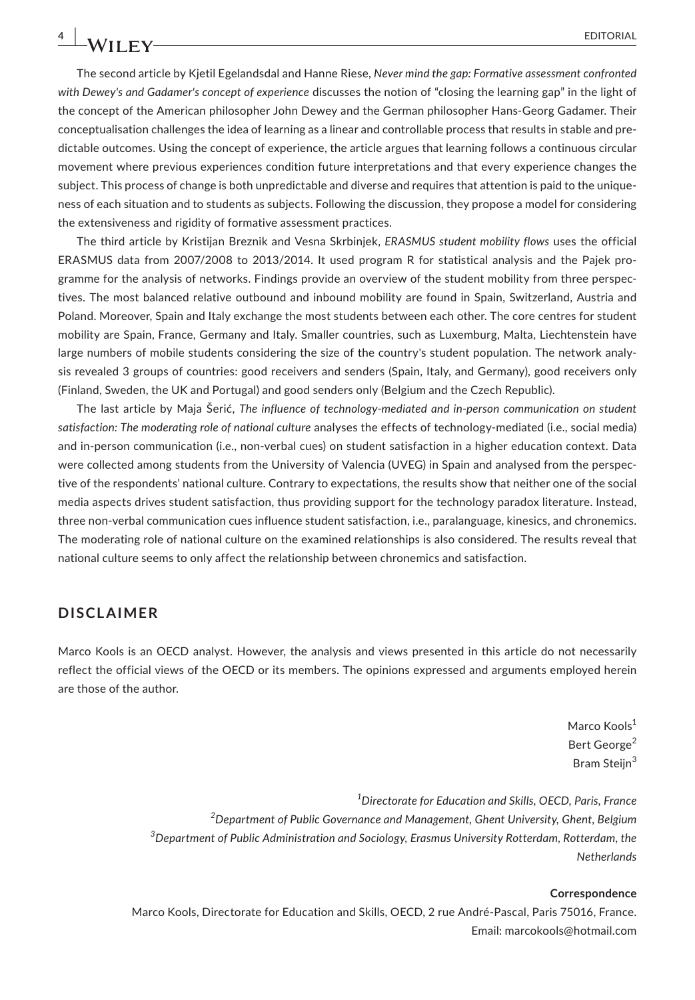The second article by Kjetil Egelandsdal and Hanne Riese, *Never mind the gap: Formative assessment confronted with Dewey's and Gadamer's concept of experience* discusses the notion of "closing the learning gap" in the light of the concept of the American philosopher John Dewey and the German philosopher Hans-Georg Gadamer. Their conceptualisation challenges the idea of learning as a linear and controllable process that results in stable and predictable outcomes. Using the concept of experience, the article argues that learning follows a continuous circular movement where previous experiences condition future interpretations and that every experience changes the subject. This process of change is both unpredictable and diverse and requires that attention is paid to the uniqueness of each situation and to students as subjects. Following the discussion, they propose a model for considering the extensiveness and rigidity of formative assessment practices.

The third article by Kristijan Breznik and Vesna Skrbinjek, *ERASMUS student mobility flows* uses the official ERASMUS data from 2007/2008 to 2013/2014. It used program R for statistical analysis and the Pajek programme for the analysis of networks. Findings provide an overview of the student mobility from three perspectives. The most balanced relative outbound and inbound mobility are found in Spain, Switzerland, Austria and Poland. Moreover, Spain and Italy exchange the most students between each other. The core centres for student mobility are Spain, France, Germany and Italy. Smaller countries, such as Luxemburg, Malta, Liechtenstein have large numbers of mobile students considering the size of the country's student population. The network analysis revealed 3 groups of countries: good receivers and senders (Spain, Italy, and Germany), good receivers only (Finland, Sweden, the UK and Portugal) and good senders only (Belgium and the Czech Republic).

The last article by Maja Šerić, *The influence of technology-mediated and in-person communication on student satisfaction: The moderating role of national culture* analyses the effects of technology-mediated (i.e., social media) and in-person communication (i.e., non-verbal cues) on student satisfaction in a higher education context. Data were collected among students from the University of Valencia (UVEG) in Spain and analysed from the perspective of the respondents' national culture. Contrary to expectations, the results show that neither one of the social media aspects drives student satisfaction, thus providing support for the technology paradox literature. Instead, three non-verbal communication cues influence student satisfaction, i.e., paralanguage, kinesics, and chronemics. The moderating role of national culture on the examined relationships is also considered. The results reveal that national culture seems to only affect the relationship between chronemics and satisfaction.

## **DISCLAIMER**

Marco Kools is an OECD analyst. However, the analysis and views presented in this article do not necessarily reflect the official views of the OECD or its members. The opinions expressed and arguments employed herein are those of the author.

> Marco Kools<sup>1</sup> Bert George<sup>2</sup> Bram Steijn<sup>3</sup>

 *Directorate for Education and Skills, OECD, Paris, France Department of Public Governance and Management, Ghent University, Ghent, Belgium Department of Public Administration and Sociology, Erasmus University Rotterdam, Rotterdam, the Netherlands*

#### **Correspondence**

Marco Kools, Directorate for Education and Skills, OECD, 2 rue André-Pascal, Paris 75016, France. Email: [marcokools@hotmail.com](mailto:marcokools@hotmail.com)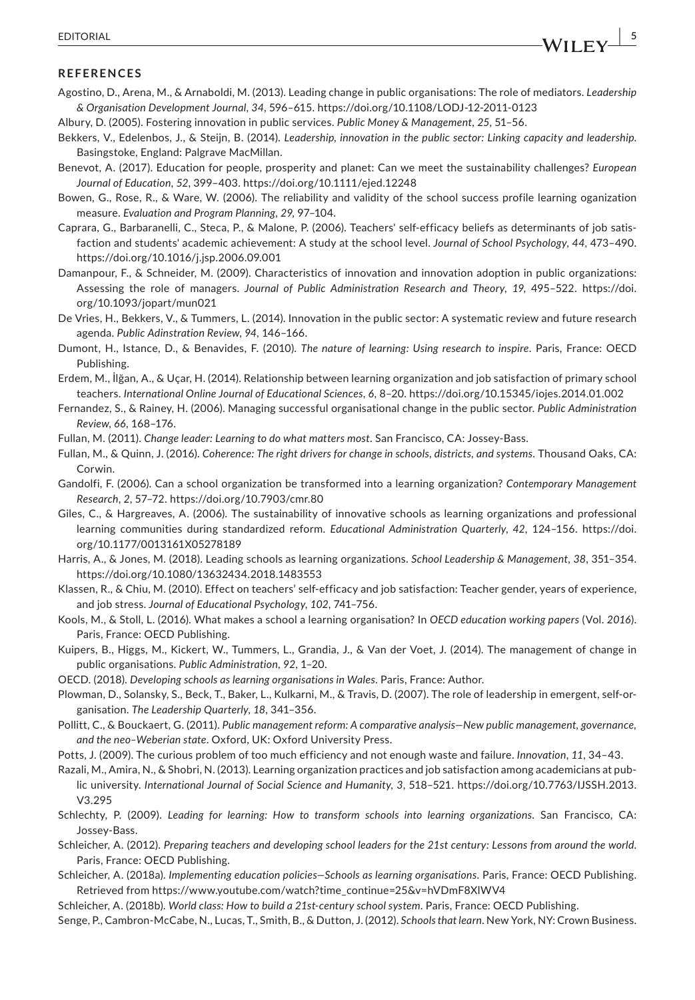#### **REFERENCES**

- Agostino, D., Arena, M., & Arnaboldi, M. (2013). Leading change in public organisations: The role of mediators. *Leadership & Organisation Development Journal*, *34*, 596–615. <https://doi.org/10.1108/LODJ-12-2011-0123>
- Albury, D. (2005). Fostering innovation in public services. *Public Money & Management*, *25*, 51–56.
- Bekkers, V., Edelenbos, J., & Steijn, B. (2014). *Leadership, innovation in the public sector: Linking capacity and leadership*. Basingstoke, England: Palgrave MacMillan.
- Benevot, A. (2017). Education for people, prosperity and planet: Can we meet the sustainability challenges? *European Journal of Education*, *52*, 399–403. <https://doi.org/10.1111/ejed.12248>
- Bowen, G., Rose, R., & Ware, W. (2006). The reliability and validity of the school success profile learning oganization measure. *Evaluation and Program Planning*, *29*, 97–104.
- Caprara, G., Barbaranelli, C., Steca, P., & Malone, P. (2006). Teachers' self-efficacy beliefs as determinants of job satisfaction and students' academic achievement: A study at the school level. *Journal of School Psychology*, *44*, 473–490. <https://doi.org/10.1016/j.jsp.2006.09.001>
- Damanpour, F., & Schneider, M. (2009). Characteristics of innovation and innovation adoption in public organizations: Assessing the role of managers. *Journal of Public Administration Research and Theory*, *19*, 495–522. [https://doi.](https://doi.org/10.1093/jopart/mun021) [org/10.1093/jopart/mun021](https://doi.org/10.1093/jopart/mun021)
- De Vries, H., Bekkers, V., & Tummers, L. (2014). Innovation in the public sector: A systematic review and future research agenda. *Public Adinstration Review*, *94*, 146–166.
- Dumont, H., Istance, D., & Benavides, F. (2010). *The nature of learning: Using research to inspire*. Paris, France: OECD Publishing.
- Erdem, M., İlğan, A., & Uçar, H. (2014). Relationship between learning organization and job satisfaction of primary school teachers. *International Online Journal of Educational Sciences*, *6*, 8–20. <https://doi.org/10.15345/iojes.2014.01.002>
- Fernandez, S., & Rainey, H. (2006). Managing successful organisational change in the public sector. *Public Administration Review*, *66*, 168–176.
- Fullan, M. (2011). *Change leader: Learning to do what matters most*. San Francisco, CA: Jossey-Bass.
- Fullan, M., & Quinn, J. (2016). *Coherence: The right drivers for change in schools, districts, and systems*. Thousand Oaks, CA: Corwin.
- Gandolfi, F. (2006). Can a school organization be transformed into a learning organization? *Contemporary Management Research*, *2*, 57–72. <https://doi.org/10.7903/cmr.80>
- Giles, C., & Hargreaves, A. (2006). The sustainability of innovative schools as learning organizations and professional learning communities during standardized reform. *Educational Administration Quarterly*, *42*, 124–156. [https://doi.](https://doi.org/10.1177/0013161X05278189) [org/10.1177/0013161X05278189](https://doi.org/10.1177/0013161X05278189)
- Harris, A., & Jones, M. (2018). Leading schools as learning organizations. *School Leadership & Management*, *38*, 351–354. <https://doi.org/10.1080/13632434.2018.1483553>
- Klassen, R., & Chiu, M. (2010). Effect on teachers' self-efficacy and job satisfaction: Teacher gender, years of experience, and job stress. *Journal of Educational Psychology*, *102*, 741–756.
- Kools, M., & Stoll, L. (2016). What makes a school a learning organisation? In *OECD education working papers* (Vol. *2016*). Paris, France: OECD Publishing.
- Kuipers, B., Higgs, M., Kickert, W., Tummers, L., Grandia, J., & Van der Voet, J. (2014). The management of change in public organisations. *Public Administration*, *92*, 1–20.
- OECD. (2018). *Developing schools as learning organisations in Wales*. Paris, France: Author.
- Plowman, D., Solansky, S., Beck, T., Baker, L., Kulkarni, M., & Travis, D. (2007). The role of leadership in emergent, self-organisation. *The Leadership Quarterly*, *18*, 341–356.
- Pollitt, C., & Bouckaert, G. (2011). *Public management reform: A comparative analysis—New public management, governance, and the neo–Weberian state*. Oxford, UK: Oxford University Press.
- Potts, J. (2009). The curious problem of too much efficiency and not enough waste and failure. *Innovation*, *11*, 34–43.
- Razali, M., Amira, N., & Shobri, N. (2013). Learning organization practices and job satisfaction among academicians at public university. *International Journal of Social Science and Humanity*, *3*, 518–521. [https://doi.org/10.7763/IJSSH.2013.](https://doi.org/10.7763/IJSSH.2013.V3.295) [V3.295](https://doi.org/10.7763/IJSSH.2013.V3.295)
- Schlechty, P. (2009). *Leading for learning: How to transform schools into learning organizations*. San Francisco, CA: Jossey-Bass.
- Schleicher, A. (2012). *Preparing teachers and developing school leaders for the 21st century: Lessons from around the world*. Paris, France: OECD Publishing.
- Schleicher, A. (2018a). *Implementing education policies—Schools as learning organisations*. Paris, France: OECD Publishing. Retrieved from [https://www.youtube.com/watch?time\\_continue=25&v=hVDmF8XlWV4](https://www.youtube.com/watch?time_continue=25&v=hVDmF8XlWV4)
- Schleicher, A. (2018b). *World class: How to build a 21st-century school system*. Paris, France: OECD Publishing.
- Senge, P., Cambron-McCabe, N., Lucas, T., Smith, B., & Dutton, J. (2012). *Schools that learn*. New York, NY: Crown Business.